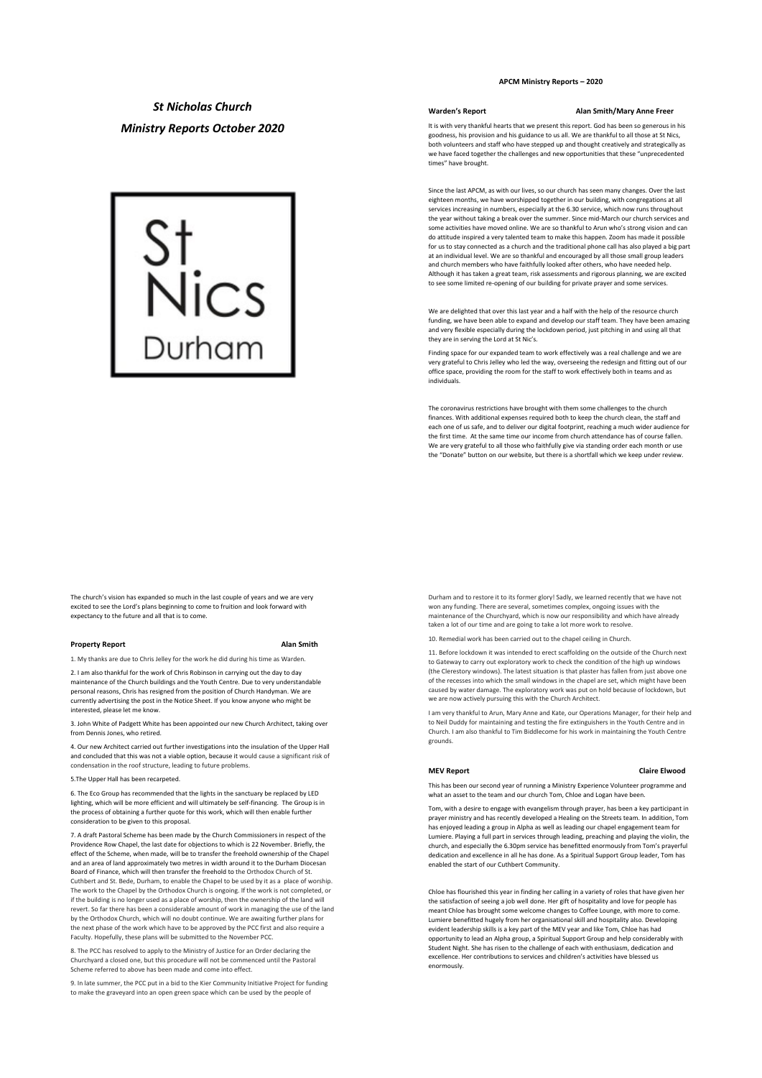*St Nicholas Church Ministry Reports October 2020*



# **APCM Ministry Reports – 2020**

**Warden's Report Alan Smith/Mary Anne Freer**

It is with very thankful hearts that we present this report. God has been so generous in his goodness, his provision and his guidance to us all. We are thankful to all those at St Nics, both volunteers and staff who have stepped up and thought creatively and strategically as we have faced together the challenges and new opportunities that these "unprecedented times" have brought.

Since the last APCM, as with our lives, so our church has seen many changes. Over the last eighteen months, we have worshipped together in our building, with congregations at all services increasing in numbers, especially at the 6.30 service, which now runs throughout the year without taking a break over the summer. Since mid-March our church services and some activities have moved online. We are so thankful to Arun who's strong vision and can do attitude inspired a very talented team to make this happen. Zoom has made it possible for us to stay connected as a church and the traditional phone call has also played a big part at an individual level. We are so thankful and encouraged by all those small group leaders and church members who have faithfully looked after others, who have needed help. Although it has taken a great team, risk assessments and rigorous planning, we are excited to see some limited re-opening of our building for private prayer and some services.

We are delighted that over this last year and a half with the help of the resource church funding, we have been able to expand and develop our staff team. They have been amazing and very flexible especially during the lockdown period, just pitching in and using all that they are in serving the Lord at St Nic's.

Finding space for our expanded team to work effectively was a real challenge and we are very grateful to Chris Jelley who led the way, overseeing the redesign and fitting out of our office space, providing the room for the staff to work effectively both in teams and as individuals.

The coronavirus restrictions have brought with them some challenges to the church finances. With additional expenses required both to keep the church clean, the staff and each one of us safe, and to deliver our digital footprint, reaching a much wider audience for the first time. At the same time our income from church attendance has of course fallen. We are very grateful to all those who faithfully give via standing order each month or use the "Donate" button on our website, but there is a shortfall which we keep under review.

The church's vision has expanded so much in the last couple of years and we are very excited to see the Lord's plans beginning to come to fruition and look forward with expectancy to the future and all that is to come.

### **Property Report Alan Smith**

1. My thanks are due to Chris Jelley for the work he did during his time as Warden.

2. I am also thankful for the work of Chris Robinson in carrying out the day to day maintenance of the Church buildings and the Youth Centre. Due to very understandable personal reasons, Chris has resigned from the position of Church Handyman. We are currently advertising the post in the Notice Sheet. If you know anyone who might be interested, please let me know.

3. John White of Padgett White has been appointed our new Church Architect, taking over from Dennis Jones, who retired.

4. Our new Architect carried out further investigations into the insulation of the Upper Hall and concluded that this was not a viable option, because it would cause a significant risk of condensation in the roof structure, leading to future problems.

## 5.The Upper Hall has been recarpeted.

6. The Eco Group has recommended that the lights in the sanctuary be replaced by LED lighting, which will be more efficient and will ultimately be self-financing. The Group is in the process of obtaining a further quote for this work, which will then enable further consideration to be given to this proposal.

7. A draft Pastoral Scheme has been made by the Church Commissioners in respect of the Providence Row Chapel, the last date for objections to which is 22 November. Briefly, the effect of the Scheme, when made, will be to transfer the freehold ownership of the Chapel and an area of land approximately two metres in width around it to the Durham Diocesa Board of Finance, which will then transfer the freehold to the Orthodox Church of St. Cuthbert and St. Bede, Durham, to enable the Chapel to be used by it as a place of worship. The work to the Chapel by the Orthodox Church is ongoing. If the work is not completed, or if the building is no longer used as a place of worship, then the ownership of the land will revert. So far there has been a considerable amount of work in managing the use of the land by the Orthodox Church, which will no doubt continue. We are awaiting further plans for the next phase of the work which have to be approved by the PCC first and also require a Faculty. Hopefully, these plans will be submitted to the November PCC.

8. The PCC has resolved to apply to the Ministry of Justice for an Order declaring the Churchyard a closed one, but this procedure will not be commenced until the Pastoral Scheme referred to above has been made and come into effect.

9. In late summer, the PCC put in a bid to the Kier Community Initiative Project for funding to make the graveyard into an open green space which can be used by the people of

Durham and to restore it to its former glory! Sadly, we learned recently that we have not won any funding. There are several, sometimes complex, ongoing issues with the maintenance of the Churchyard, which is now our responsibility and which have already taken a lot of our time and are going to take a lot more work to resolve.

Remedial work has been carried out to the chapel ceiling in Church.

11. Before lockdown it was intended to erect scaffolding on the outside of the Church next to Gateway to carry out exploratory work to check the condition of the high up windows (the Clerestory windows). The latest situation is that plaster has fallen from just above one of the recesses into which the small windows in the chapel are set, which might have been caused by water damage. The exploratory work was put on hold because of lockdown, but we are now actively pursuing this with the Church Architect.

I am very thankful to Arun, Mary Anne and Kate, our Operations Manager, for their help and to Neil Duddy for maintaining and testing the fire extinguishers in the Youth Centre and in Church. I am also thankful to Tim Biddlecome for his work in maintaining the Youth Centre grounds.

## **MEV Report Claire Elwood**

This has been our second year of running a Ministry Experience Volunteer programme and what an asset to the team and our church Tom, Chloe and Logan have been.

Tom, with a desire to engage with evangelism through prayer, has been a key participant in prayer ministry and has recently developed a Healing on the Streets team. In addition, Tom has enjoyed leading a group in Alpha as well as leading our chapel engagement team for Lumiere. Playing a full part in services through leading, preaching and playing the violin, the church, and especially the 6.30pm service has benefitted enormously from Tom's prayerful dedication and excellence in all he has done. As a Spiritual Support Group leader, Tom has enabled the start of our Cuthbert Community.

Chloe has flourished this year in finding her calling in a variety of roles that have given her the satisfaction of seeing a job well done. Her gift of hospitality and love for people has meant Chloe has brought some welcome changes to Coffee Lounge, with more to come. Lumiere benefitted hugely from her organisational skill and hospitality also. Developing evident leadership skills is a key part of the MEV year and like Tom, Chloe has had opportunity to lead an Alpha group, a Spiritual Support Group and help considerably with Student Night. She has risen to the challenge of each with enthusiasm, dedication and excellence. Her contributions to services and children's activities have blessed us enormously.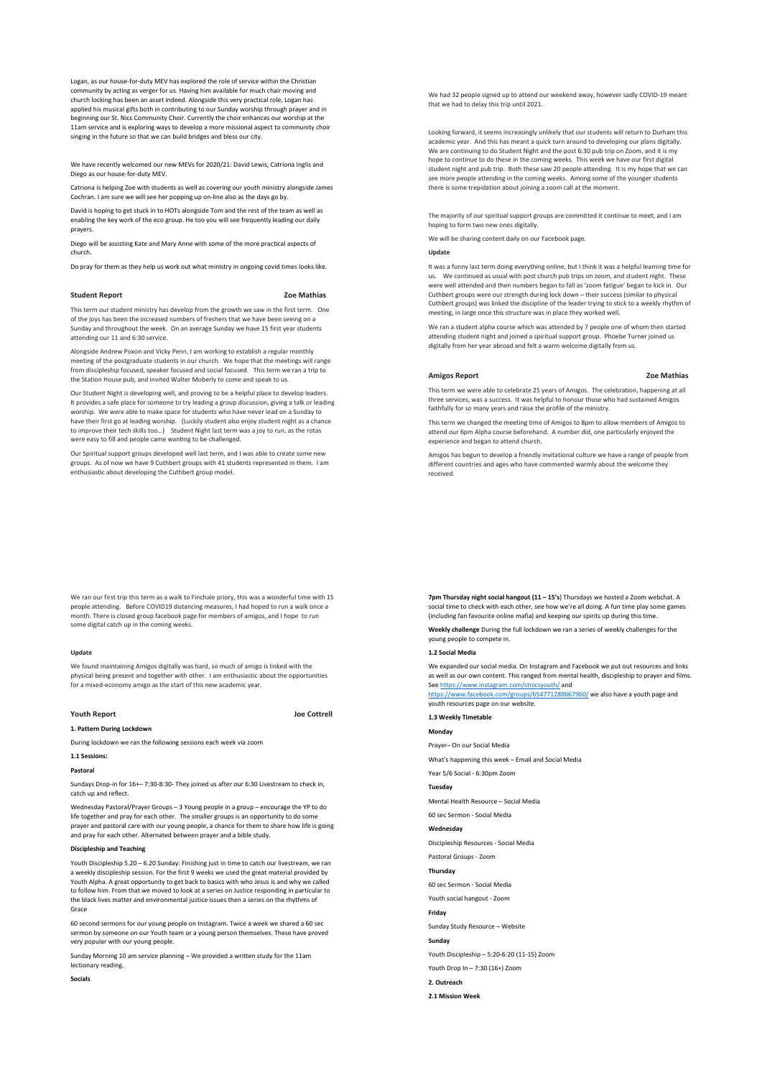Logan, as our house-for-duty MEV has explored the role of service within the Christian community by acting as verger for us. Having him available for much chair moving and church locking has been an asset indeed. Alongside this very practical role, Logan has applied his musical gifts both in contributing to our Sunday worship through prayer and in beginning our St. Nics Community Choir. Currently the choir enhances our worship at the 11am service and is exploring ways to develop a more missional aspect to community choir singing in the future so that we can build bridges and bless our city.

We have recently welcomed our new MEVs for 2020/21: David Lewis, Catriona Inglis and Diego as our house-for-duty MEV.

Catriona is helping Zoe with students as well as covering our youth ministry alongside James Cochran. I am sure we will see her popping up on-line also as the days go by.

David is hoping to get stuck in to HOTs alongside Tom and the rest of the team as well as enabling the key work of the eco group. He too you will see frequently leading our daily prayers.

Diego will be assisting Kate and Mary Anne with some of the more practical aspects of church.

Do pray for them as they help us work out what ministry in ongoing covid times looks like.

**Student Report 2008** 

This term our student ministry has develop from the growth we saw in the first term. One of the joys has been the increased numbers of freshers that we have been seeing on a Sunday and throughout the week. On an average Sunday we have 15 first year students attending our 11 and 6:30 service.

Alongside Andrew Poxon and Vicky Penn, I am working to establish a regular monthly meeting of the postgraduate students in our church. We hope that the meetings will range from discipleship focused, speaker focused and social focused. This term we ran a trip to the Station House pub, and invited Walter Moberly to come and speak to us.

Our Student Night is developing well, and proving to be a helpful place to develop leaders. It provides a safe place for someone to try leading a group discussion, giving a talk or leading worship. We were able to make space for students who have never lead on a Sunday to have their first go at leading worship. (Luckily student also enjoy student night as a chance to improve their tech skills too…) Student Night last term was a joy to run, as the rotas were easy to fill and people came wanting to be challenged.

Our Spiritual support groups developed well last term, and I was able to create some new groups. As of now we have 9 Cuthbert groups with 41 students represented in them. I am enthusiastic about developing the Cuthbert group model.

We ran our first trip this term as a walk to Finchale priory, this was a wonderful time with 15 people attending. Before COVID19 distancing measures, I had hoped to run a walk once a month. There is closed group facebook page for members of amigos, and I hope to run some digital catch up in the coming weeks.

# **Update**

We found maintaining Amigos digitally was hard, so much of amigo is linked with the physical being present and together with other. I am enthusiastic about the opportunities for a mixed-economy amigo as the start of this new academic year.

#### **Youth Report Joe Cottrell**

**1. Pattern During Lockdown** 

During lockdown we ran the following sessions each week via zoom

# **1.1 Sessions:**

**Pastoral**

Sundays Drop-in for 16+– 7:30-8:30- They joined us after our 6:30 Livestream to check in, catch up and reflect.

Wednesday Pastoral/Prayer Groups – 3 Young people in a group – encourage the YP to do life together and pray for each other. The smaller groups is an opportunity to do some prayer and pastoral care with our young people, a chance for them to share how life is going and pray for each other. Alternated between prayer and a bible study.

# **Discipleship and Teaching**

Youth Discipleship 5.20 – 6.20 Sunday: Finishing just in time to catch our livestream, we ran a weekly discipleship session. For the first 9 weeks we used the great material provided by Youth Alpha. A great opportunity to get back to basics with who Jesus is and why we called to follow him. From that we moved to look at a series on Justice responding in particular to the black lives matter and environmental justice issues then a series on the rhythms of Grace

60 second sermons for our young people on Instagram. Twice a week we shared a 60 sec sermon by someone on our Youth team or a young person themselves. These have proved very popular with our young people.

Sunday Morning 10 am service planning – We provided a written study for the 11am lectionary reading.

**Socials**

We had 32 people signed up to attend our weekend away, however sadly COVID-19 meant that we had to delay this trip until 2021.

Looking forward, it seems increasingly unlikely that our students will return to Durham this academic year. And this has meant a quick turn around to developing our plans digitally. We are continuing to do Student Night and the post 6:30 pub trip on Zoom, and it is my hope to continue to do these in the coming weeks. This week we have our first digital student night and pub trip. Both these saw 20 people attending. It is my hope that we can see more people attending in the coming weeks. Among some of the younger students there is some trepidation about joining a zoom call at the moment.

The majority of our spiritual support groups are committed it continue to meet, and I am hoping to form two new ones digitally.

We will be sharing content daily on our Facebook page.

## **Update**

It was a funny last term doing everything online, but I think it was a helpful learning time for us. We continued as usual with post church pub trips on zoom, and student night. These were well attended and then numbers began to fall as 'zoom fatigue' began to kick in. Our Cuthbert groups were our strength during lock down – their success (similar to physical Cuthbert groups) was linked the discipline of the leader trying to stick to a weekly rhythm of meeting, in large once this structure was in place they worked well.

We ran a student alpha course which was attended by 7 people one of whom then started attending student night and joined a spiritual support group. Phoebe Turner joined us digitally from her year abroad and felt a warm welcome digitally from us.

#### **Amigos Report Zoe Mathias**

This term we were able to celebrate 25 years of Amigos. The celebration, happening at all three services, was a success. It was helpful to honour those who had sustained Amigos faithfully for so many years and raise the profile of the ministry.

This term we changed the meeting time of Amigos to 8pm to allow members of Amigos to attend our 6pm Alpha course beforehand. A number did, one particularly enjoyed the experience and began to attend church.

Amigos has begun to develop a friendly invitational culture we have a range of people from different countries and ages who have commented warmly about the welcome they received.

**7pm Thursday night social hangout (11 – 15's**) Thursdays we hosted a Zoom webchat. A social time to check with each other, see how we're all doing. A fun time play some games (including fan favourite online mafia) and keeping our spirits up during this time.

**Weekly challenge** During the full lockdown we ran a series of weekly challenges for the young people to compete in.

## **1.2 Social Media**

We expanded our social media. On Instagram and Facebook we put out resources and links as well as our own content. This ranged from mental health, discipleship to prayer and films. See https://www.instagram.com/stnicsyouth/ and

https://www.facebook.com/groups/654771288667960/ we also have a youth page and youth resources page on our website.

### **1.3 Weekly Timetable**

**Monday**

Prayer– On our Social Media

What's happening this week – Email and Social Media

### Year 5/6 Social - 6:30pm Zoom

**Tuesday**

Mental Health Resource – Social Media

60 sec Sermon - Social Media

### **Wednesday**

Discipleship Resources - Social Media

Pastoral Groups - Zoom

# **Thursday**

60 sec Sermon - Social Media

Youth social hangout - Zoom

**Friday**

**Sunday**

Sunday Study Resource – Website

Youth Discipleship – 5:20-6:20 (11-15) Zoom

Youth Drop In – 7:30 (16+) Zoom

**2. Outreach**

**2.1 Mission Week**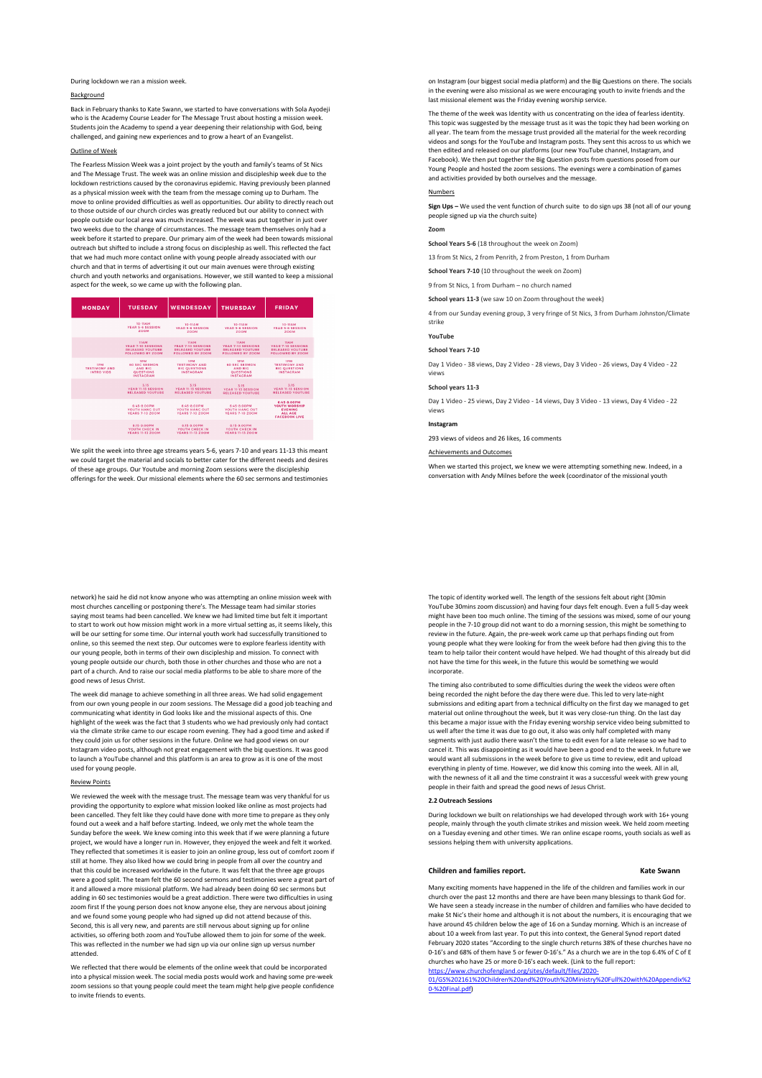During lockdown we ran a mission week.

# Background

Back in February thanks to Kate Swann, we started to have conversations with Sola Ayodeji who is the Academy Course Leader for The Message Trust about hosting a mission week Students join the Academy to spend a year deepening their relationship with God, being challenged, and gaining new experiences and to grow a heart of an Evangelist.

## Outline of Week

The Fearless Mission Week was a joint project by the youth and family's teams of St Nics and The Message Trust. The week was an online mission and discipleship week due to the lockdown restrictions caused by the coronavirus epidemic. Having previously been planned as a physical mission week with the team from the message coming up to Durham. The move to online provided difficulties as well as opportunities. Our ability to directly reach out to those outside of our church circles was greatly reduced but our ability to connect with people outside our local area was much increased. The week was put together in just over two weeks due to the change of circumstances. The message team themselves only had a week before it started to prepare. Our primary aim of the week had been towards missional outreach but shifted to include a strong focus on discipleship as well. This reflected the fact that we had much more contact online with young people already associated with our church and that in terms of advertising it out our main avenues were through existing church and youth networks and organisations. However, we still wanted to keep a missional aspect for the week, so we came up with the following plan.

| <b>MONDAY</b>                             | <b>TUESDAY</b>                                                                               | <b>WENDESDAY</b>                                                                          | <b>THURSDAY</b>                                                                              | <b>FRIDAY</b>                                                                                         |
|-------------------------------------------|----------------------------------------------------------------------------------------------|-------------------------------------------------------------------------------------------|----------------------------------------------------------------------------------------------|-------------------------------------------------------------------------------------------------------|
|                                           | 10-11AM<br><b><i>VEAD S-6 SESSION</i></b><br>ZOOM                                            | 10-114M<br>YEAR 5-6 SESSION<br>ZOOM                                                       | 10-114M<br><b>YEAR 5-6 SESSION</b><br>ZOOM                                                   | 10-114M<br><b>YEAR 5-6 SESSION</b><br>ZOOM                                                            |
|                                           | 114.54<br><b>YEAD 7-10 SESSIONS</b><br><b>RELEASED YOUTURE</b><br><b>FOLLOWED BY ZOOM</b>    | 11.6 M<br><b>VEAD 7-10 SESSIONS</b><br><b>RELEASED YOUTURE</b><br><b>FOLLOWED BY ZOOM</b> | 114.54<br><b>YEAD 7-10 SESSIONS</b><br><b>RELEASED YOUTURE</b><br><b>FOLLOWED BY ZOOM</b>    | <b>TIAM</b><br><b><i>VEAD 7-10 SESSIONS</i></b><br><b>RELEASED YOUTURE</b><br><b>FOLLOWED BY ZOOM</b> |
| 1PM<br><b>TESTIMONY AND</b><br>INTRO VIDS | <b>TPM</b><br><b>60 SEC SERMON</b><br><b>AND RIG</b><br><b>OUESTIONS</b><br><b>INSTAGRAM</b> | <b>1DM</b><br><b>TESTIMONY AND</b><br><b>RIG QUESTIONS</b><br><b>INSTACRAM</b>            | <b>TPM</b><br><b>60 SEC SERMON</b><br><b>AND RIG</b><br><b>OUESTIONS</b><br><b>INSTAGRAM</b> | <b>1PM</b><br><b>TESTIMONY AND</b><br><b>RIG QUESTIONS</b><br><b>INSTACRAM</b>                        |
|                                           | 3:15<br><b>VEAD 11-13 SESSION</b><br><b><i>RELEASED YOUTURE</i></b>                          | 3.15<br><b>VEAD 11-13 SESSION</b><br><b><i>RELEASED YOUTURE</i></b>                       | 3-15<br><b>VEAD 11-13 SESSION</b><br><b><i>RELEASED VOUTURE</i></b>                          | 3-15<br><b>VEAD 11-13 SESSION</b><br><b>RELEASED YOUTURE</b>                                          |
|                                           | 6:45-8:00PM<br><b>VOUTH HANG OUT</b><br><b>YEARS 7-10 ZOOM</b>                               | 6-45-8-00PM<br><b>YOUTH HANG OUT</b><br><b>YEARS 7-10 ZOOM</b>                            | 6:45-8:00PM<br><b>VOUTH HANG OUT</b><br><b>YEARS 7-10 ZOOM</b>                               | 6-45-8-00PM<br><b>YOUTH WORSHIP</b><br><b>EVENING</b><br>ALL AGE<br><b>FACEBOOK LIVE</b>              |
|                                           | 8:15-9:00PM<br><b>VOUTH CHECK IN</b><br><b>YEARS 11-13 ZOOM</b>                              | 8:15-9:00PM<br><b>YOUTH CHECK IN</b><br><b>YEARS 11-13 ZOOM</b>                           | 8:15-9:00PM<br><b>YOUTH CHECK IN</b><br><b>YEARS 11-13 ZOOM</b>                              |                                                                                                       |

We split the week into three age streams years 5-6, years 7-10 and years 11-13 this meant we could target the material and socials to better cater for the different needs and desires of these age groups. Our Youtube and morning Zoom sessions were the discipleship offerings for the week. Our missional elements where the 60 sec sermons and testimonies

network) he said he did not know anyone who was attempting an online mission week with most churches cancelling or postponing there's. The Message team had similar stories saying most teams had been cancelled. We knew we had limited time but felt it important to start to work out how mission might work in a more virtual setting as, it seems likely, this will be our setting for some time. Our internal youth work had successfully transitioned to online, so this seemed the next step. Our outcomes were to explore fearless identity with our young people, both in terms of their own discipleship and mission. To connect with young people outside our church, both those in other churches and those who are not a part of a church. And to raise our social media platforms to be able to share more of the good news of Jesus Christ.

The week did manage to achieve something in all three areas. We had solid engagement from our own young people in our zoom sessions. The Message did a good job teaching and communicating what identity in God looks like and the missional aspects of this. One highlight of the week was the fact that 3 students who we had previously only had contact had contacted was the fact that 3 students who we had previously only had contacted. via the climate strike came to our escape room evening. They had a good time and asked if they could join us for other sessions in the future. Online we had good views on our Instagram video posts, although not great engagement with the big questions. It was good to launch a YouTube channel and this platform is an area to grow as it is one of the most used for young people.

## Review Points

We reviewed the week with the message trust. The message team was very thankful for us providing the opportunity to explore what mission looked like online as most projects had been cancelled. They felt like they could have done with more time to prepare as they only found out a week and a half before starting. Indeed, we only met the whole team the Sunday before the week. We knew coming into this week that if we were planning a future project, we would have a longer run in. However, they enjoyed the week and felt it worked. They reflected that sometimes it is easier to join an online group, less out of comfort zoom if still at home. They also liked how we could bring in people from all over the country and that this could be increased worldwide in the future. It was felt that the three age groups were a good split. The team felt the 60 second sermons and testimonies were a great part of it and allowed a more missional platform. We had already been doing 60 sec sermons but adding in 60 sec testimonies would be a great addiction. There were two difficulties in using zoom first If the young person does not know anyone else, they are nervous about joining and we found some young people who had signed up did not attend because of this. Second, this is all very new, and parents are still nervous about signing up for online activities, so offering both zoom and YouTube allowed them to join for some of the week. This was reflected in the number we had sign up via our online sign up versus number attended.

We reflected that there would be elements of the online week that could be incorporated into a physical mission week. The social media posts would work and having some pre-week zoom sessions so that young people could meet the team might help give people confidence to invite friends to events.

on Instagram (our biggest social media platform) and the Big Questions on there. The socials in the evening were also missional as we were encouraging youth to invite friends and the last missional element was the Friday evening worship service.

The theme of the week was Identity with us concentrating on the idea of fearless identity. This topic was suggested by the message trust as it was the topic they had been working on all year. The team from the message trust provided all the material for the week recording videos and songs for the YouTube and Instagram posts. They sent this across to us which we then edited and released on our platforms (our new YouTube channel, Instagram, and Facebook). We then put together the Big Question posts from questions posed from our Young People and hosted the zoom sessions. The evenings were a combination of games and activities provided by both ourselves and the message.

### **Numbers**

**Sign Ups –** We used the vent function of church suite to do sign ups 38 (not all of our young people signed up via the church suite)

# **Zoom**

**School Years 5-6** (18 throughout the week on Zoom)

13 from St Nics, 2 from Penrith, 2 from Preston, 1 from Durham

**School Years 7-10** (10 throughout the week on Zoom)

9 from St Nics, 1 from Durham – no church named

**School years 11-3** (we saw 10 on Zoom throughout the week)

4 from our Sunday evening group, 3 very fringe of St Nics, 3 from Durham Johnston/Climate strike

### **YouTube**

**School Years 7-10**

Day 1 Video - 38 views, Day 2 Video - 28 views, Day 3 Video - 26 views, Day 4 Video - 22 views

# **School years 11-3**

Day 1 Video - 25 views, Day 2 Video - 14 views, Day 3 Video - 13 views, Day 4 Video - 22 views

### **Instagram**

293 views of videos and 26 likes, 16 comments

#### Achievements and Outcomes

When we started this project, we knew we were attempting something new. Indeed, in a conversation with Andy Milnes before the week (coordinator of the missional youth

The topic of identity worked well. The length of the sessions felt about right (30min YouTube 30mins zoom discussion) and having four days felt enough. Even a full 5-day week might have been too much online. The timing of the sessions was mixed, some of our young people in the 7-10 group did not want to do a morning session, this might be something to review in the future. Again, the pre-week work came up that perhaps finding out from young people what they were looking for from the week before had then giving this to the team to help tailor their content would have helped. We had thought of this already but did not have the time for this week, in the future this would be something we would incorporate.

The timing also contributed to some difficulties during the week the videos were often being recorded the night before the day there were due. This led to very late-night submissions and editing apart from a technical difficulty on the first day we managed to get material out online throughout the week, but it was very close-run thing. On the last day this became a major issue with the Friday evening worship service video being submitted to us well after the time it was due to go out, it also was only half completed with many segments with just audio there wasn't the time to edit even for a late release so we had to cancel it. This was disappointing as it would have been a good end to the week. In future we would want all submissions in the week before to give us time to review, edit and upload everything in plenty of time. However, we did know this coming into the week. All in all, with the newness of it all and the time constraint it was a successful week with grew young people in their faith and spread the good news of Jesus Christ.

# **2.2 Outreach Session**

During lockdown we built on relationships we had developed through work with 16+ young people, mainly through the youth climate strikes and mission week. We held zoom meeting on a Tuesday evening and other times. We ran online escape rooms, youth socials as well as sessions helping them with university applications.

### **Children and families report. Kate Swann**

Many exciting moments have happened in the life of the children and families work in our church over the past 12 months and there are have been many blessings to thank God for. We have seen a steady increase in the number of children and families who have decided to make St Nic's their home and although it is not about the numbers, it is encouraging that we have around 45 children below the age of 16 on a Sunday morning. Which is an increase of about 10 a week from last year. To put this into context, the General Synod report dated February 2020 states "According to the single church returns 38% of these churches have no 0-16's and 68% of them have 5 or fewer 0-16's." As a church we are in the top 6.4% of C of E churches who have 25 or more 0-16's each week. (Link to the full report: https://www.churchofengland.org/sites/default/files/2020-

01/GS%202161%20Children%20and%20Youth%20Ministry%20Full%20with%20Ap 0-%20Final.pdf)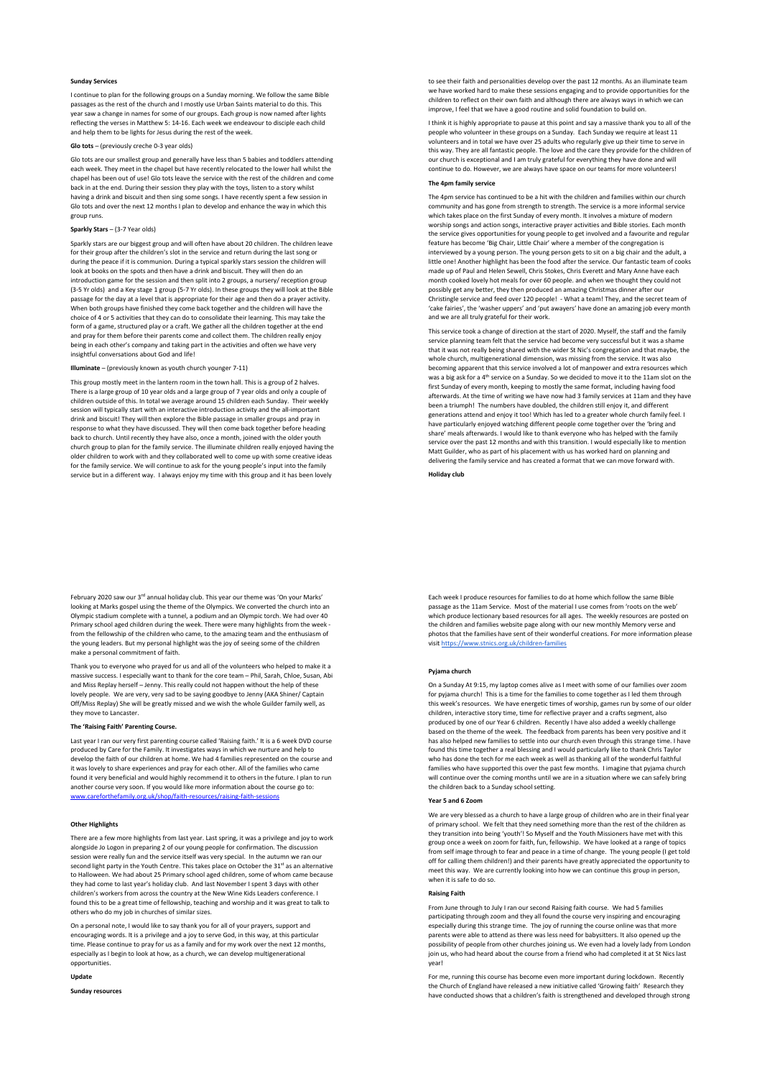# **Sunday Services**

I continue to plan for the following groups on a Sunday morning. We follow the same Bible passages as the rest of the church and I mostly use Urban Saints material to do this. This year saw a change in names for some of our groups. Each group is now named after lights reflecting the verses in Matthew 5: 14-16. Each week we endeavour to disciple each child and help them to be lights for Jesus during the rest of the week.

# **Glo tots** – (previously creche 0-3 year olds)

Glo tots are our smallest group and generally have less than 5 babies and toddlers attending each week. They meet in the chapel but have recently relocated to the lower hall whilst the chapel has been out of use! Glo tots leave the service with the rest of the children and come back in at the end. During their session they play with the toys, listen to a story whilst having a drink and biscuit and then sing some songs. I have recently spent a few session in Glo tots and over the next 12 months I plan to develop and enhance the way in which this group runs.

# **Sparkly Stars** – (3-7 Year olds)

Sparkly stars are our biggest group and will often have about 20 children. The children leave for their group after the children's slot in the service and return during the last song or during the peace if it is communion. During a typical sparkly stars session the children will look at books on the spots and then have a drink and biscuit. They will then do an introduction game for the session and then split into 2 groups, a nursery/ reception group (3-5 Yr olds) and a Key stage 1 group (5-7 Yr olds). In these groups they will look at the Bible passage for the day at a level that is appropriate for their age and then do a prayer activity. When both groups have finished they come back together and the children will have the choice of 4 or 5 activities that they can do to consolidate their learning. This may take the form of a game, structured play or a craft. We gather all the children together at the end and pray for them before their parents come and collect them. The children really enjoy being in each other's company and taking part in the activities and often we have very insightful conversations about God and life!

### **Illuminate** – (previously known as youth church younger 7-11)

This group mostly meet in the lantern room in the town hall. This is a group of 2 halves. There is a large group of 10 year olds and a large group of 7 year olds and only a couple of children outside of this. In total we average around 15 children each Sunday. Their weekly session will typically start with an interactive introduction activity and the all-important drink and biscuit! They will then explore the Bible passage in smaller groups and pray in response to what they have discussed. They will then come back together before heading back to church. Until recently they have also, once a month, joined with the older youth church group to plan for the family service. The illuminate children really enjoyed having the older children to work with and they collaborated well to come up with some creative ideas for the family service. We will continue to ask for the young people's input into the family service but in a different way. I always enjoy my time with this group and it has been lovely

February 2020 saw our 3<sup>rd</sup> annual holiday club. This year our theme was 'On your Marks' looking at Marks gospel using the theme of the Olympics. We converted the church into an Olympic stadium complete with a tunnel, a podium and an Olympic torch. We had over 40 Primary school aged children during the week. There were many highlights from the week from the fellowship of the children who came, to the amazing team and the enthusiasm of the young leaders. But my personal highlight was the joy of seeing some of the children make a personal commitment of faith.

Thank you to everyone who prayed for us and all of the volunteers who helped to make it a massive success. I especially want to thank for the core team – Phil, Sarah, Chloe, Susan, Abi and Miss Replay herself – Jenny. This really could not happen without the help of these lovely people. We are very, very sad to be saying goodbye to Jenny (AKA Shiner/ Captain Off/Miss Replay) She will be greatly missed and we wish the whole Guilder family well, as they move to Lancaster.

### **The 'Raising Faith' Parenting Course.**

Last year I ran our very first parenting course called 'Raising faith.' It is a 6 week DVD course produced by Care for the Family. It investigates ways in which we nurture and help to develop the faith of our children at home. We had 4 families represented on the course and it was lovely to share experiences and pray for each other. All of the families who came found it very beneficial and would highly recommend it to others in the future. I plan to run another course very soon. If you would like more information about the course go to: www.careforthefamily.org.uk/shop/faith-resources/raising-faith-sessions

### **Other Highlights**

There are a few more highlights from last year. Last spring, it was a privilege and joy to work alongside Jo Logon in preparing 2 of our young people for confirmation. The discu session were really fun and the service itself was very special. In the autumn we ran our second light party in the Youth Centre. This takes place on October the 31<sup>st</sup> as an alternative to Halloween. We had about 25 Primary school aged children, some of whom came because they had come to last year's holiday club. And last November I spent 3 days with other children's workers from across the country at the New Wine Kids Leaders conference. I found this to be a great time of fellowship, teaching and worship and it was great to talk to others who do my job in churches of similar sizes.

On a personal note, I would like to say thank you for all of your prayers, support and encouraging words. It is a privilege and a joy to serve God, in this way, at this particular time. Please continue to pray for us as a family and for my work over the next 12 months, especially as I begin to look at how, as a church, we can develop multigenerational opportunities.

# **Update**

**Sunday resources**

to see their faith and personalities develop over the past 12 months. As an illuminate team we have worked hard to make these sessions engaging and to provide opportunities for the children to reflect on their own faith and although there are always ways in which we can improve, I feel that we have a good routine and solid foundation to build on.

I think it is highly appropriate to pause at this point and say a massive thank you to all of the people who volunteer in these groups on a Sunday. Each Sunday we require at least 11 volunteers and in total we have over 25 adults who regularly give up their time to serve in this way. They are all fantastic people. The love and the care they provide for the children of our church is exceptional and I am truly grateful for everything they have done and will continue to do. However, we are always have space on our teams for more volunteers!

# **The 4pm family service**

The 4pm service has continued to be a hit with the children and families within our church community and has gone from strength to strength. The service is a more informal service which takes place on the first Sunday of every month. It involves a mixture of modern worship songs and action songs, interactive prayer activities and Bible stories. Each month the service gives opportunities for young people to get involved and a favourite and regular feature has become 'Big Chair, Little Chair' where a member of the congregation is interviewed by a young person. The young person gets to sit on a big chair and the adult, a little one! Another highlight has been the food after the service. Our fantastic team of cooks made up of Paul and Helen Sewell, Chris Stokes, Chris Everett and Mary Anne have each month cooked lovely hot meals for over 60 people. and when we thought they could not possibly get any better, they then produced an amazing Christmas dinner after our Christingle service and feed over 120 people! - What a team! They, and the secret team of 'cake fairies', the 'washer uppers' and 'put awayers' have done an amazing job every month and we are all truly grateful for their work.

This service took a change of direction at the start of 2020. Myself, the staff and the family service planning team felt that the service had become very successful but it was a shame that it was not really being shared with the wider St Nic's congregation and that maybe, the whole church, multigenerational dimension, was missing from the service. It was also becoming apparent that this service involved a lot of manpower and extra resources which was a big ask for a 4<sup>th</sup> service on a Sunday. So we decided to move it to the 11am slot on the first Sunday of every month, keeping to mostly the same format, including having food afterwards. At the time of writing we have now had 3 family services at 11am and they have been a triumph! The numbers have doubled, the children still enjoy it, and different generations attend and enjoy it too! Which has led to a greater whole church family feel. I have particularly enjoyed watching different people come together over the 'bring and share' meals afterwards. I would like to thank everyone who has helped with the family service over the past 12 months and with this transition. I would especially like to mention Matt Guilder, who as part of his placement with us has worked hard on planning and delivering the family service and has created a format that we can move forward with.

**Holiday club**

Each week I produce resources for families to do at home which follow the same Bible passage as the 11am Service. Most of the material I use comes from 'roots on the web' which produce lectionary based resources for all ages. The weekly resources are posted on the children and families website page along with our new monthly Memory verse and photos that the families have sent of their wonderful creations. For more information please visit https://www.stnics.org.uk/children-families

### **Pyjama church**

On a Sunday At 9:15, my laptop comes alive as I meet with some of our families over zoom for pyjama church! This is a time for the families to come together as I led them through this week's resources. We have energetic times of worship, games run by some of our older children, interactive story time, time for reflective prayer and a crafts segment, also produced by one of our Year 6 children. Recently I have also added a weekly challenge based on the theme of the week. The feedback from parents has been very positive and it has also helped new families to settle into our church even through this strange time. I have found this time together a real blessing and I would particularly like to thank Chris Taylor who has done the tech for me each week as well as thanking all of the wonderful faithful families who have supported this over the past few months. I imagine that pyjama church will continue over the coming months until we are in a situation where we can safely bring the children back to a Sunday school setting.

### **Year 5 and 6 Zoom**

We are very blessed as a church to have a large group of children who are in their final year of primary school. We felt that they need something more than the rest of the children as they transition into being 'youth'! So Myself and the Youth Missioners have met with this group once a week on zoom for faith, fun, fellowship. We have looked at a range of topics from self image through to fear and peace in a time of change. The young people (I get told off for calling them children!) and their parents have greatly appreciated the opportunity to meet this way. We are currently looking into how we can continue this group in person, when it is safe to do so.

### **Raising Faith**

From June through to July I ran our second Raising faith course. We had 5 families participating through zoom and they all found the course very inspiring and encouraging especially during this strange time. The joy of running the course online was that more parents were able to attend as there was less need for babysitters. It also opened up the possibility of people from other churches joining us. We even had a lovely lady from London join us, who had heard about the course from a friend who had completed it at St Nics last year!

For me, running this course has become even more important during lockdown. Recently the Church of England have released a new initiative called 'Growing faith' Research they have conducted shows that a children's faith is strengthened and developed through strong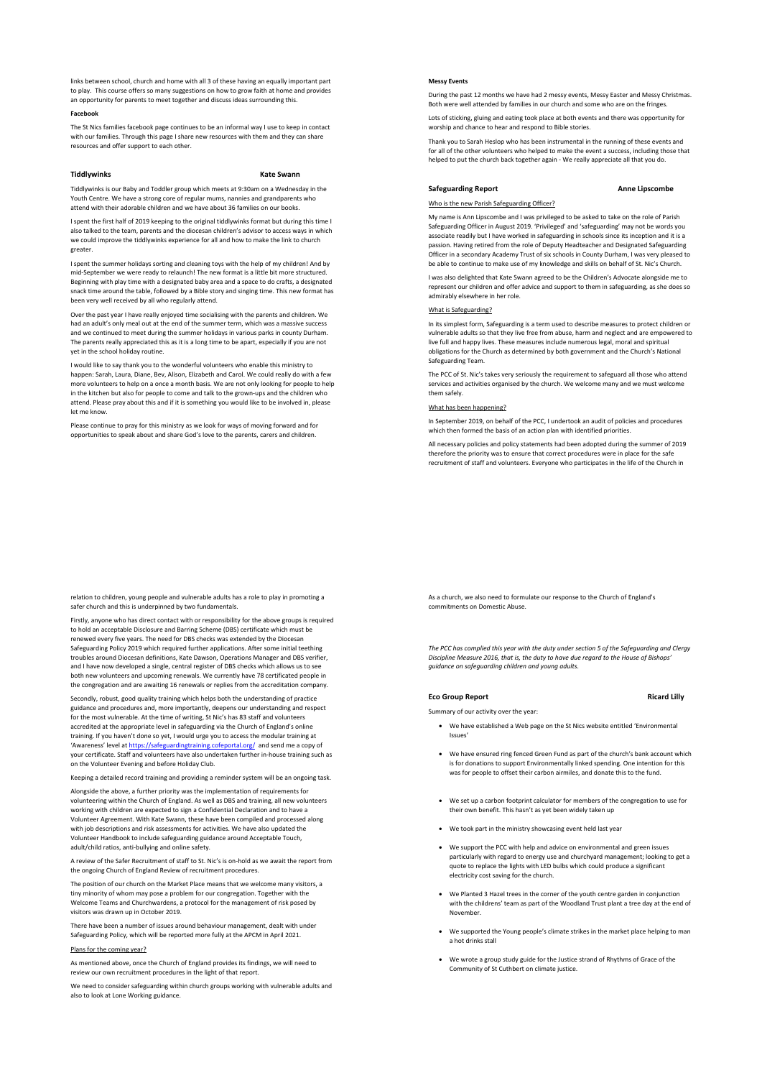links between school, church and home with all 3 of these having an equally important part to play. This course offers so many suggestions on how to grow faith at home and provides an opportunity for parents to meet together and discuss ideas surrounding this.

## **Facebook**

The St Nics families facebook page continues to be an informal way I use to keep in contact with our families. Through this page I share new resources with them and they can share resources and offer support to each other.

# **Tiddlywinks Kate Swann**

Tiddlywinks is our Baby and Toddler group which meets at 9:30am on a Wednesday in the Youth Centre. We have a strong core of regular mums, nannies and grandparents who attend with their adorable children and we have about 36 families on our books.

I spent the first half of 2019 keeping to the original tiddlywinks format but during this time I also talked to the team, parents and the diocesan children's advisor to access ways in which we could improve the tiddlywinks experience for all and how to make the link to church greater.

I spent the summer holidays sorting and cleaning toys with the help of my children! And by mid-September we were ready to relaunch! The new format is a little bit more structured. Beginning with play time with a designated baby area and a space to do crafts, a designated snack time around the table, followed by a Bible story and singing time. This new format has been very well received by all who regularly attend.

Over the past year I have really enjoyed time socialising with the parents and children. We had an adult's only meal out at the end of the summer term, which was a massive success and we continued to meet during the summer holidays in various parks in county Durham. The parents really appreciated this as it is a long time to be apart, especially if you are not yet in the school holiday routine

I would like to say thank you to the wonderful volunteers who enable this ministry to happen: Sarah, Laura, Diane, Bev, Alison, Elizabeth and Carol. We could really do with a few more volunteers to help on a once a month basis. We are not only looking for people to help in the kitchen but also for people to come and talk to the grown-ups and the children who attend. Please pray about this and if it is something you would like to be involved in, please let me know.

Please continue to pray for this ministry as we look for ways of moving forward and for opportunities to speak about and share God's love to the parents, carers and children.

relation to children, young people and vulnerable adults has a role to play in promoting a safer church and this is underpinned by two fundamentals.

Firstly, anyone who has direct contact with or responsibility for the above groups is required to hold an acceptable Disclosure and Barring Scheme (DBS) certificate which must be renewed every five years. The need for DBS checks was extended by the Diocesan Safeguarding Policy 2019 which required further applications. After some initial teething troubles around Diocesan definitions, Kate Dawson, Operations Manager and DBS verifier, and I have now developed a single, central register of DBS checks which allows us to see both new volunteers and upcoming renewals. We currently have 78 certificated people in the congregation and are awaiting 16 renewals or replies from the accreditation company.

Secondly, robust, good quality training which helps both the understanding of practice guidance and procedures and, more importantly, deepens our understanding and respect for the most vulnerable. At the time of writing, St Nic's has 83 staff and volunteers accredited at the appropriate level in safeguarding via the Church of England's online training. If you haven't done so yet, I would urge you to access the modular training at 'Awareness' level at https://safeguardingtraining.cofeportal.org/ and send me a copy of your certificate. Staff and volunteers have also undertaken further in-house training such as on the Volunteer Evening and before Holiday Club.

Keeping a detailed record training and providing a reminder system will be an ongoing task.

Alongside the above, a further priority was the implementation of requirements for volunteering within the Church of England. As well as DBS and training, all new volunteers working with children are expected to sign a Confidential Declaration and to have a Volunteer Agreement. With Kate Swann, these have been compiled and processed along with job descriptions and risk assessments for activities. We have also updated the Volunteer Handbook to include safeguarding guidance around Acceptable Touch, adult/child ratios, anti-bullying and online safety.

A review of the Safer Recruitment of staff to St. Nic's is on-hold as we await the report from the ongoing Church of England Review of recruitment procedures.

The position of our church on the Market Place means that we welcome many visitors, a tiny minority of whom may pose a problem for our congregation. Together with the Welcome Teams and Churchwardens, a protocol for the management of risk posed by vas drawn up in October 2019

There have been a number of issues around behaviour management, dealt with under Safeguarding Policy, which will be reported more fully at the APCM in April 2021.

### Plans for the coming year?

As mentioned above, once the Church of England provides its findings, we will need to review our own recruitment procedures in the light of that report.

We need to consider safeguarding within church groups working with vulnerable adults and also to look at Lone Working guidance.

## **Messy Events**

During the past 12 months we have had 2 messy events, Messy Easter and Messy Christmas. Both were well attended by families in our church and some who are on the fringes.

Lots of sticking, gluing and eating took place at both events and there was opportunity fo worship and chance to hear and respond to Bible stories.

Thank you to Sarah Heslop who has been instrumental in the running of these events and for all of the other volunteers who helped to make the event a success, including those that helped to put the church back together again - We really appreciate all that you do.

### **Safeguarding Report Anne Lipscombe**

## Who is the new Parish Safeguarding Officer?

My name is Ann Lipscombe and I was privileged to be asked to take on the role of Parish Safeguarding Officer in August 2019. 'Privileged' and 'safeguarding' may not be words you associate readily but I have worked in safeguarding in schools since its inception and it is a passion. Having retired from the role of Deputy Headteacher and Designated Safeguarding Officer in a secondary Academy Trust of six schools in County Durham, I was very pleased to be able to continue to make use of my knowledge and skills on behalf of St. Nic's Church.

I was also delighted that Kate Swann agreed to be the Children's Advocate alongside me to represent our children and offer advice and support to them in safeguarding, as she does so admirably elsewhere in her role.

#### is Safeguarding?

In its simplest form, Safeguarding is a term used to describe measures to protect children or vulnerable adults so that they live free from abuse, harm and neglect and are empowered to live full and happy lives. These measures include numerous legal, moral and spiritual obligations for the Church as determined by both government and the Church's National Safeguarding Team.

The PCC of St. Nic's takes very seriously the requirement to safeguard all those who attend services and activities organised by the church. We welcome many and we must welcome them safely.

## What has been hannening?

In September 2019, on behalf of the PCC, I undertook an audit of policies and procedures which then formed the basis of an action plan with identified priorities.

All necessary policies and policy statements had been adopted during the summer of 2019 therefore the priority was to ensure that correct procedures were in place for the safe recruitment of staff and volunteers. Everyone who participates in the life of the Church in

As a church, we also need to formulate our response to the Church of England's commitments on Domestic Abuse.

*The PCC has complied this year with the duty under section 5 of the Safeguarding and Clergy Discipline Measure 2016, that is, the duty to have due regard to the House of Bishops' guidance on safeguarding children and young adults.*

## **Eco Group Report Contract Contract Contract Contract Contract Contract Contract Contract Contract Contract Contract Contract Contract Contract Contract Contract Contract Contract Contract Contract Contract Contract Contra**

Summary of our activity over the year:

- We have established a Web page on the St Nics website entitled 'Environmental Issues'
- We have ensured ring fenced Green Fund as part of the church's bank account which is for donations to support Environmentally linked spending. One intention for this was for people to offset their carbon airmiles, and donate this to the fund.
- We set up a carbon footprint calculator for members of the congregation to use for their own benefit. This hasn't as yet been widely taken up
- We took part in the ministry showcasing event held last year
- We support the PCC with help and advice on environmental and green issues particularly with regard to energy use and churchyard management; looking to get a quote to replace the lights with LED bulbs which could produce a significant electricity cost saving for the church.
- We Planted 3 Hazel trees in the corner of the youth centre garden in conjunction with the childrens' team as part of the Woodland Trust plant a tree day at the end of November.
- We supported the Young people's climate strikes in the market place helping to man a hot drinks stall
- We wrote a group study guide for the Justice strand of Rhythms of Grace of the Community of St Cuthbert on climate justice.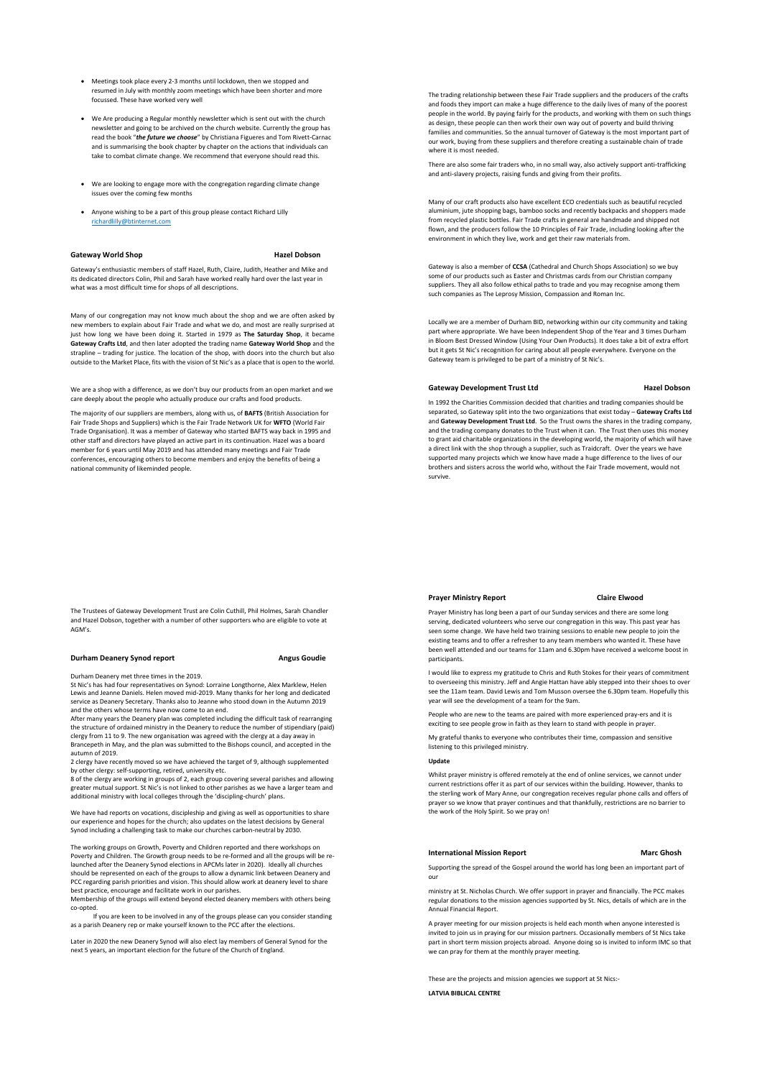- Meetings took place every 2-3 months until lockdown, then we stopped and resumed in July with monthly zoom meetings which have been shorter and more focussed. These have worked very well
- We Are producing a Regular monthly newsletter which is sent out with the church newsletter and going to be archived on the church website. Currently the group has read the book "*the future we choose*" by Christiana Figueres and Tom Rivett-Carnac and is summarising the book chapter by chapter on the actions that individuals can take to combat climate change. We recommend that everyone should read this.
- We are looking to engage more with the congregation regarding climate change issues over the coming few months
- Anyone wishing to be a part of this group please contact Richard Lilly richardlilly@btinternet.com

# Gateway World Shop **Hazel Dobson**

Gateway's enthusiastic members of staff Hazel, Ruth, Claire, Judith, Heather and Mike and its dedicated directors Colin, Phil and Sarah have worked really hard over the last year in what was a most difficult time for shops of all descriptions.

Many of our congregation may not know much about the shop and we are often asked by new members to explain about Fair Trade and what we do, and most are really surprised at just how long we have been doing it. Started in 1979 as **The Saturday Shop**, it became **Gateway Crafts Ltd**, and then later adopted the trading name **Gateway World Shop** and the strapline – trading for justice. The location of the shop, with doors into the church but also outside to the Market Place, fits with the vision of St Nic's as a place that is open to the world.

We are a shop with a difference, as we don't buy our products from an open market and we care deeply about the people who actually produce our crafts and food products.

The majority of our suppliers are members, along with us, of **BAFTS** (British Association for Fair Trade Shops and Suppliers) which is the Fair Trade Network UK for **WFTO** (World Fair Trade Organisation). It was a member of Gateway who started BAFTS way back in 1995 and other staff and directors have played an active part in its continuation. Hazel was a board member for 6 years until May 2019 and has attended many meetings and Fair Trade conferences, encouraging others to become members and enjoy the benefits of being a national community of likeminded people.

The Trustees of Gateway Development Trust are Colin Cuthill, Phil Holmes, Sarah Chandler and Hazel Dobson, together with a number of other supporters who are eligible to vote at AGM's.

# **Durham Deanery Synod report Angus Goudie**

Durham Deanery met three times in the 2019.

St Nic's has had four representatives on Synod: Lorraine Longthorne, Alex Marklew, Helen Lewis and Jeanne Daniels. Helen moved mid-2019. Many thanks for her long and dedicated service as Deanery Secretary. Thanks also to Jeanne who stood down in the Autumn 2019 and the others whose terms have now come to an end. After many years the Deanery plan was completed including the difficult task of rearranging

the structure of ordained ministry in the Deanery to reduce the number of stipendiary (paid) clergy from 11 to 9. The new organisation was agreed with the clergy at a day away in Brancepeth in May, and the plan was submitted to the Bishops council, and accepted in the autumn of 2019.

2 clergy have recently moved so we have achieved the target of 9, although supplement by other clergy: self-supporting, retired, university etc.

8 of the clergy are working in groups of 2, each group covering several parishes and allowing greater mutual support. St Nic's is not linked to other parishes as we have a larger team and additional ministry with local colleges through the 'discipling-church' plans.

We have had reports on vocations, discipleship and giving as well as opportunities to share our experience and hopes for the church; also updates on the latest decisions by General Synod including a challenging task to make our churches carbon-neutral by 2030.

The working groups on Growth, Poverty and Children reported and there workshops on Poverty and Children. The Growth group needs to be re-formed and all the groups will be relaunched after the Deanery Synod elections in APCMs later in 2020). Ideally all churches should be represented on each of the groups to allow a dynamic link between Deanery and PCC regarding parish priorities and vision. This should allow work at deanery level to share best practice, encourage and facilitate work in our parishes.

Membership of the groups will extend beyond elected deanery members with others being co-opted.

If you are keen to be involved in any of the groups please can you consider standing as a parish Deanery rep or make yourself known to the PCC after the elections.

Later in 2020 the new Deanery Synod will also elect lay members of General Synod for the next 5 years, an important election for the future of the Church of England.

The trading relationship between these Fair Trade suppliers and the producers of the crafts and foods they import can make a huge difference to the daily lives of many of the poorest people in the world. By paying fairly for the products, and working with them on such things as design, these people can then work their own way out of poverty and build thriving families and communities. So the annual turnover of Gateway is the most important part of our work, buying from these suppliers and therefore creating a sustainable chain of trade where it is most needed.

There are also some fair traders who, in no small way, also actively support anti-trafficking and anti-slavery projects, raising funds and giving from their profits.

Many of our craft products also have excellent ECO credentials such as beautiful recycled aluminium, jute shopping bags, bamboo socks and recently backpacks and shoppers made from recycled plastic bottles. Fair Trade crafts in general are handmade and shipped not flown, and the producers follow the 10 Principles of Fair Trade, including looking after the environment in which they live, work and get their raw materials from.

Gateway is also a member of **CCSA** (Cathedral and Church Shops Association) so we buy some of our products such as Easter and Christmas cards from our Christian company suppliers. They all also follow ethical paths to trade and you may recognise among them such companies as The Leprosy Mission, Compassion and Roman Inc.

Locally we are a member of Durham BID, networking within our city community and taking part where appropriate. We have been Independent Shop of the Year and 3 times Durham in Bloom Best Dressed Window (Using Your Own Products). It does take a bit of extra effort but it gets St Nic's recognition for caring about all people everywhere. Everyone on the Gateway team is privileged to be part of a ministry of St Nic's.

# **Gateway Development Trust Ltd Hazel Dobson**

In 1992 the Charities Commission decided that charities and trading companies should be separated, so Gateway split into the two organizations that exist today – **Gateway Crafts Ltd** and **Gateway Development Trust Ltd**. So the Trust owns the shares in the trading company, and the trading company donates to the Trust when it can. The Trust then uses this money to grant aid charitable organizations in the developing world, the majority of which will have a direct link with the shop through a supplier, such as Traidcraft. Over the years we have supported many projects which we know have made a huge difference to the lives of our brothers and sisters across the world who, without the Fair Trade movement, would not survive.

### **Prayer Ministry Report Claire Elwood**

Prayer Ministry has long been a part of our Sunday services and there are some long serving, dedicated volunteers who serve our congregation in this way. This past year has seen some change. We have held two training sessions to enable new people to join the existing teams and to offer a refresher to any team members who wanted it. These have been well attended and our teams for 11am and 6.30pm have received a welcome boost in participants.

I would like to express my gratitude to Chris and Ruth Stokes for their years of commitment to overseeing this ministry. Jeff and Angie Hattan have ably stepped into their shoes to over see the 11am team. David Lewis and Tom Musson oversee the 6.30pm team. Hopefully this year will see the development of a team for the 9am.

People who are new to the teams are paired with more experienced pray-ers and it is exciting to see people grow in faith as they learn to stand with people in prayer.

My grateful thanks to everyone who contributes their time, compassion and sensitive listening to this privileged ministry.

# **Update**

Whilst prayer ministry is offered remotely at the end of online services, we cannot under current restrictions offer it as part of our services within the building. However, thanks to the sterling work of Mary Anne, our congregation receives regular phone calls and offers of prayer so we know that prayer continues and that thankfully, restrictions are no barrier to the work of the Holy Spirit. So we pray on!

### **International Mission Report Communisties of Marc Ghosh**

Supporting the spread of the Gospel around the world has long been an important part of our

ministry at St. Nicholas Church. We offer support in prayer and financially. The PCC makes regular donations to the mission agencies supported by St. Nics, details of which are in the Annual Financial Report.

A prayer meeting for our mission projects is held each month when anyone interested is invited to join us in praying for our mission partners. Occasionally members of St Nics take part in short term mission projects abroad. Anyone doing so is invited to inform IMC so that we can pray for them at the monthly prayer meeting.

These are the projects and mission agencies we support at St Nics:- **LATVIA BIBLICAL CENTRE**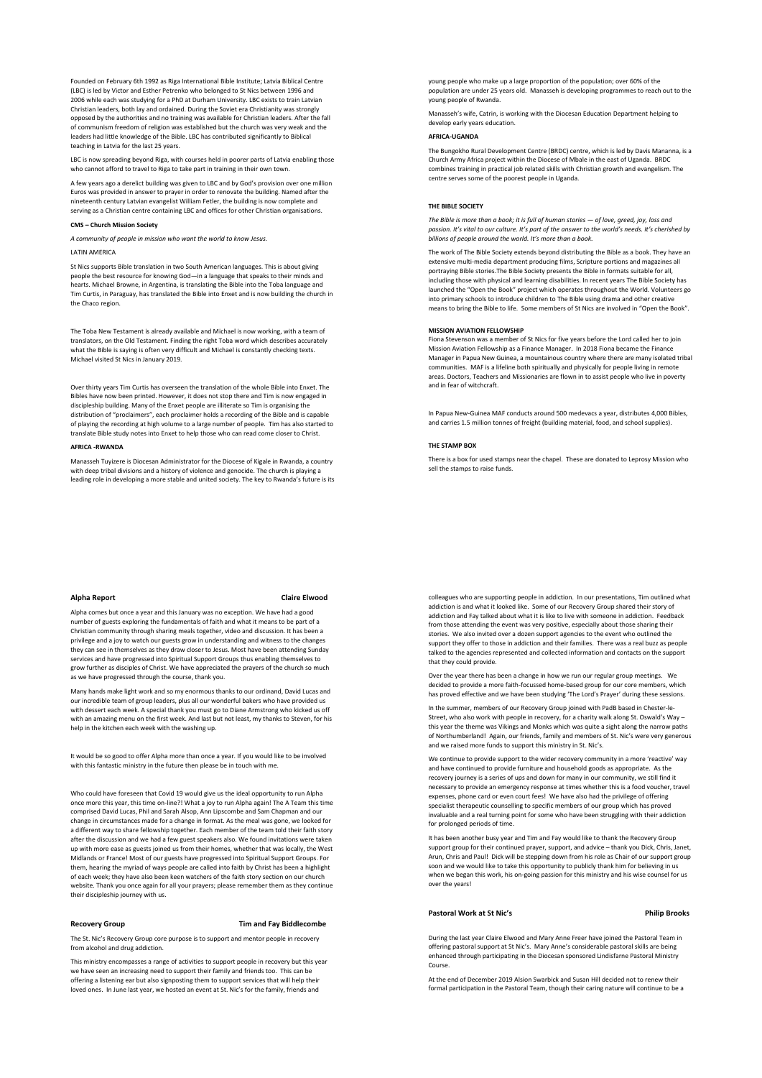Founded on February 6th 1992 as Riga International Bible Institute; Latvia Biblical Centre (LBC) is led by Victor and Esther Petrenko who belonged to St Nics between 1996 and 2006 while each was studying for a PhD at Durham University. LBC exists to train Latvian Christian leaders, both lay and ordained. During the Soviet era Christianity was strongly opposed by the authorities and no training was available for Christian leaders. After the fall of communism freedom of religion was established but the church was very weak and the leaders had little knowledge of the Bible. LBC has contributed significantly to Biblical teaching in Latvia for the last 25 years.

LBC is now spreading beyond Riga, with courses held in poorer parts of Latvia enabling those who cannot afford to travel to Riga to take part in training in their own town.

A few years ago a derelict building was given to LBC and by God's provision over one million Euros was provided in answer to prayer in order to renovate the building. Named after the nineteenth century Latvian evangelist William Fetler, the building is now complete and serving as a Christian centre containing LBC and offices for other Christian organisations.

# **CMS – Church Mission Society**

*A community of people in mission who want the world to know Jesus.*

LATIN AMERICA

St Nics supports Bible translation in two South American languages. This is about giving people the best resource for knowing God—in a language that speaks to their minds and hearts. Michael Browne, in Argentina, is translating the Bible into the Toba language and Tim Curtis, in Paraguay, has translated the Bible into Enxet and is now building the church in the Chaco region.

The Toba New Testament is already available and Michael is now working, with a team of translators, on the Old Testament. Finding the right Toba word which describes accurately what the Bible is saying is often very difficult and Michael is constantly checking texts. Michael visited St Nics in January 2019.

Over thirty years Tim Curtis has overseen the translation of the whole Bible into Enxet. The Bibles have now been printed. However, it does not stop there and Tim is now engaged in discipleship building. Many of the Enxet people are illiterate so Tim is organising the distribution of "proclaimers", each proclaimer holds a recording of the Bible and is capable of playing the recording at high volume to a large number of people.Tim has also started to translate Bible study notes into Enxet to help those who can read come closer to Christ.

# **AFRICA -RWANDA**

Manasseh Tuyizere is Diocesan Administrator for the Diocese of Kigale in Rwanda, a country with deep tribal divisions and a history of violence and genocide. The church is playing a<br>with deep tribal divisions and a history of violence and genocide. The church is playing a leading role in developing a more stable and united society. The key to Rwanda's future is its

### **Alpha Report Claire Elwood**

Alpha comes but once a year and this January was no exception. We have had a good number of guests exploring the fundamentals of faith and what it means to be part of a Christian community through sharing meals together, video and discussion. It has been a privilege and a joy to watch our guests grow in understanding and witness to the changes they can see in themselves as they draw closer to Jesus. Most have been attending Sunday services and have progressed into Spiritual Support Groups thus enabling themselves to grow further as disciples of Christ. We have appreciated the prayers of the church so much as we have progressed through the course, thank you.

Many hands make light work and so my enormous thanks to our ordinand, David Lucas and our incredible team of group leaders, plus all our wonderful bakers who have provided us with dessert each week. A special thank you must go to Diane Armstrong who kicked us off with an amazing menu on the first week. And last but not least, my thanks to Steven, for his help in the kitchen each week with the washing up.

It would be so good to offer Alpha more than once a year. If you would like to be involved with this fantastic ministry in the future then please be in touch with me.

Who could have foreseen that Covid 19 would give us the ideal opportunity to run Alpha once more this year, this time on-line?! What a joy to run Alpha again! The A Team this time comprised David Lucas, Phil and Sarah Alsop, Ann Lipscombe and Sam Chapman and our change in circumstances made for a change in format. As the meal was gone, we looked for a different way to share fellowship together. Each member of the team told their faith story after the discussion and we had a few guest speakers also. We found invitations were taken up with more ease as guests joined us from their homes, whether that was locally, the West Midlands or France! Most of our guests have progressed into Spiritual Support Groups. For them, hearing the myriad of ways people are called into faith by Christ has been a highlight of each week; they have also been keen watchers of the faith story section on our ch website. Thank you once again for all your prayers; please remember them as they continue their discipleship journey with us.

# **Recovery Group Tim and Fay Biddlecombe**

The St. Nic's Recovery Group core purpose is to support and mentor people in recovery from alcohol and drug addiction.

This ministry encompasses a range of activities to support people in recovery but this year we have seen an increasing need to support their family and friends too. This can be offering a listening ear but also signposting them to support services that will help their loved ones. In June last year, we hosted an event at St. Nic's for the family, friends and

young people who make up a large proportion of the population; over 60% of the population are under 25 years old. Manasseh is developing programmes to reach out to the young people of Rwanda.

Manasseh's wife, Catrin, is working with the Diocesan Education Department helping to develop early years education.

#### **AFRICA-UGANDA**

The Bungokho Rural Development Centre (BRDC) centre, which is led by Davis Mananna, is a Church Army Africa project within the Diocese of Mbale in the east of Uganda. BRDC combines training in practical job related skills with Christian growth and evangelism. The centre serves some of the poorest people in Uganda.

# **THE BIBLE SOCIETY**

*The Bible is more than a book; it is full of human stories — of love, greed, joy, loss and passion. It's vital to our culture. It's part of the answer to the world's needs. It's cherished by billions of people around the world. It's more than a book.*

The work of The Bible Society extends beyond distributing the Bible as a book. They have an extensive multi-media department producing films, Scripture portions and magazines portraying Bible stories.The Bible Society presents the Bible in formats suitable for all, .<br>including those with physical and learning disabilities. In recent years The Bible Society has launched the "Open the Book" project which operates throughout the World. Volunteers go into primary schools to introduce children to The Bible using drama and other creative means to bring the Bible to life. Some members of St Nics are involved in "Open the Book".

## **MISSION AVIATION FELLOWSHIP**

Fiona Stevenson was a member of St Nics for five years before the Lord called her to join Mission Aviation Fellowship as a Finance Manager. In 2018 Fiona became the Finance Manager in Papua New Guinea, a mountainous country where there are many isolated tribal communities. MAF is a lifeline both spiritually and physically for people living in remote areas. Doctors, Teachers and Missionaries are flown in to assist people who live in poverty and in fear of witchcraft.

In Papua New-Guinea MAF conducts around 500 medevacs a year, distributes 4,000 Bibles, and carries 1.5 million tonnes of freight (building material, food, and school supplies).

## **THE STAMP BOX**

There is a box for used stamps near the chapel. These are donated to Leprosy Mission who sell the stamps to raise funds.

colleagues who are supporting people in addiction. In our presentations, Tim outlined what addiction is and what it looked like. Some of our Recovery Group shared their story of addiction and Fay talked about what it is like to live with someone in addiction. Feedback from those attending the event was very positive, especially about those sharing their stories. We also invited over a dozen support agencies to the event who outlined the support they offer to those in addiction and their families. There was a real buzz as people talked to the agencies represented and collected information and contacts on the support that they could provide.

Over the year there has been a change in how we run our regular group meetings. We decided to provide a more faith-focussed home-based group for our core members, which has proved effective and we have been studying 'The Lord's Prayer' during these sessions.

In the summer, members of our Recovery Group joined with PadB based in Chester-le-Street, who also work with people in recovery, for a charity walk along St. Oswald's Way – this year the theme was Vikings and Monks which was quite a sight along the narrow paths of Northumberland! Again, our friends, family and members of St. Nic's were very generous and we raised more funds to support this ministry in St. Nic's.

We continue to provide support to the wider recovery community in a more 'reactive' way and have continued to provide furniture and household goods as appropriate. As the recovery journey is a series of ups and down for many in our community, we still find it necessary to provide an emergency response at times whether this is a food voucher, travel expenses, phone card or even court fees! We have also had the privilege of offering specialist therapeutic counselling to specific members of our group which has proved invaluable and a real turning point for some who have been struggling with their addiction for prolonged periods of time.

It has been another busy year and Tim and Fay would like to thank the Recovery Group support group for their continued prayer, support, and advice – thank you Dick, Chris, Janet, Arun, Chris and Paul! Dick will be stepping down from his role as Chair of our support group soon and we would like to take this opportunity to publicly thank him for believing in us when we began this work, his on-going passion for this ministry and his wise counsel for us over the years!

## **Pastoral Work at St Nic's Philip Brooks**

During the last year Claire Elwood and Mary Anne Freer have joined the Pastoral Team in offering pastoral support at St Nic's. Mary Anne's considerable pastoral skills are being enhanced through participating in the Diocesan sponsored Lindisfarne Pastoral Ministry Course.

At the end of December 2019 Alsion Swarbick and Susan Hill decided not to renew their formal participation in the Pastoral Team, though their caring nature will continue to be a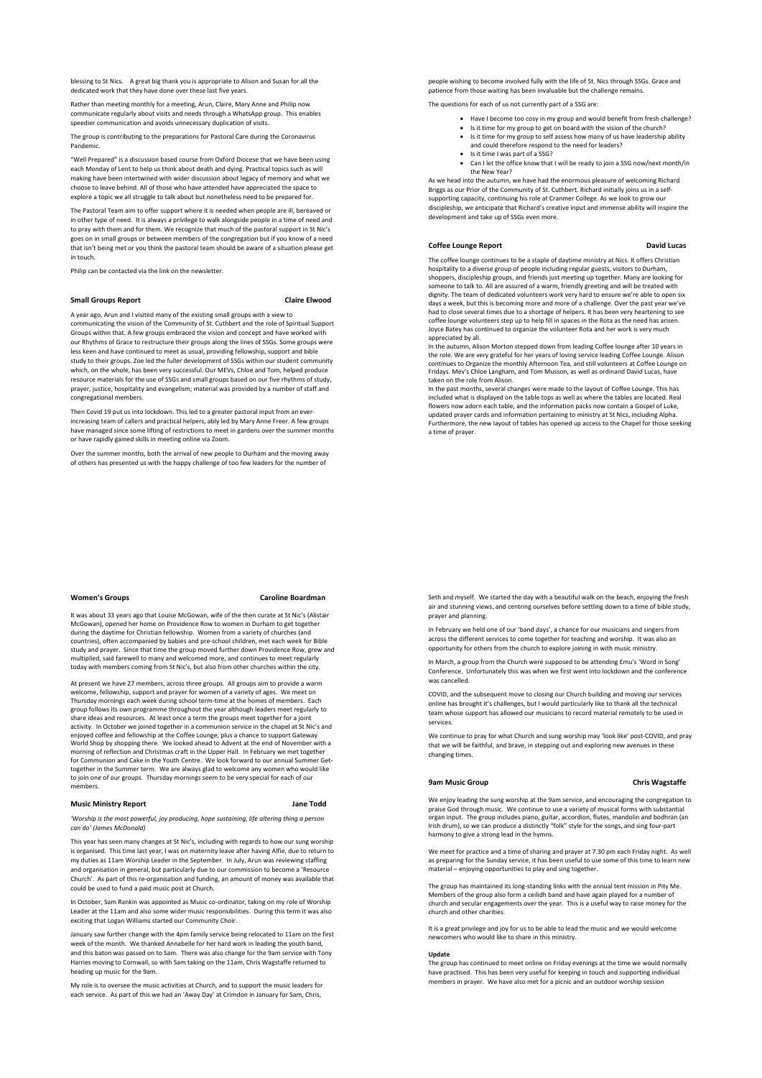blessing to St Nics. A great big thank you is appropriate to Alison and Susan for all the dedicated work that they have done over these last five years.

Rather than meeting monthly for a meeting, Arun, Claire, Mary Anne and Philip now communicate regularly about visits and needs through a WhatsApp group. This enables speedier communication and avoids unnecessary duplication of visits.

The group is contributing to the preparations for Pastoral Care during the Coronavirus Pandemic.

"Well Prepared" is a discussion based course from Oxford Diocese that we have been using each Monday of Lent to help us think about death and dying. Practical topics such as will making have been intertwined with wider discussion about legacy of memory and what we choose to leave behind. All of those who have attended have appreciated the space to explore a topic we all struggle to talk about but nonetheless need to be prepared for.

The Pastoral Team aim to offer support where it is needed when people are ill, bereaved or in other type of need. It is always a privilege to walk alongside people in a time of need and to pray with them and for them. We recognize that much of the pastoral support in St Nic's goes on in small groups or between members of the congregation but if you know of a need that isn't being met or you think the pastoral team should be aware of a situation please get in touch.

Philip can be contacted via the link on the newsletter.

# **Small Groups Report Claire Elwood**

A year ago, Arun and I visited many of the existing small groups with a view to communicating the vision of the Community of St. Cuthbert and the role of Spiritual Support Groups within that. A few groups embraced the vision and concept and have worked with our Rhythms of Grace to restructure their groups along the lines of SSGs. Some groups were less keen and have continued to meet as usual, providing fellowship, support and bible study to their groups. Zoe led the fuller development of SSGs within our student community which, on the whole, has been very successful. Our MEVs, Chloe and Tom, helped produce resource materials for the use of SSGs and small groups based on our five rhythms of study, prayer, justice, hospitality and evangelism; material was provided by a number of staff and congregational members.

Then Covid 19 put us into lockdown. This led to a greater pastoral input from an everincreasing team of callers and practical helpers, ably led by Mary Anne Freer. A few groups have managed since some lifting of restrictions to meet in gardens over the summer months or have rapidly gained skills in meeting online via Zoom.

Over the summer months, both the arrival of new people to Durham and the moving away of others has presented us with the happy challenge of too few leaders for the number

#### **Women's Groups Caroline Boardman**

It was about 33 years ago that Louise McGowan, wife of the then curate at St Nic's (Alistair McGowan), opened her home on Providence Row to women in Durham to get together during the daytime for Christian fellowship. Women from a variety of churches (and countries), often accompanied by babies and pre-school children, met each week for Bible study and prayer. Since that time the group moved further down Providence Row, grew and multiplied, said farewell to many and welcomed more, and continues to meet regularly today with members coming from St Nic's, but also from other churches within the city.

At present we have 27 members, across three groups. All groups aim to provide a warm welcome, fellowship, support and prayer for women of a variety of ages. We meet on Thursday mornings each week during school term-time at the homes of members. Each group follows its own programme throughout the year although leaders meet regularly to share ideas and resources. At least once a term the groups meet together for a joint activity. In October we joined together in a communion service in the chapel at St Nic's and enjoyed coffee and fellowship at the Coffee Lounge, plus a chance to support Gateway World Shop by shopping there. We looked ahead to Advent at the end of November with a morning of reflection and Christmas craft in the Upper Hall. In February we met together<br>for Communion and Cake in the Youth Centre. We look forward to our annual Summer Getfor Communion and Cake in the Youth Centre. We look forward to our annual Summer Get-together in the Summer term. We are always glad to welcome any women who would like to join one of our groups. Thursday mornings seem to be very special for each of our mbers.

# **Music Ministry Report Jane Todd**

*'Worship is the most powerful, joy producing, hope sustaining, life altering thing a person can do' (James McDonald)*

This year has seen many changes at St Nic's, including with regards to how our sung worship is organised. This time last year, I was on maternity leave after having Alfie, due to return to my duties as 11am Worship Leader in the September. In July, Arun was reviewing staffing and organisation in general, but particularly due to our commission to become a 'Resource Church'. As part of this re-organisation and funding, an amount of money was available that could be used to fund a paid music post at Church.

In October, Sam Rankin was appointed as Music co-ordinator, taking on my role of Worship Leader at the 11am and also some wider music responsibilities. During this term it was also exciting that Logan Williams started our Community Choir.

January saw further change with the 4pm family service being relocated to 11am on the first week of the month. We thanked Annabelle for her hard work in leading the youth band,<br>and this baton was passed on to Sam. There was also change for the 9am service with Tony Harries moving to Cornwall, so with Sam taking on the 11am, Chris Wagstaffe returned to heading up music for the 9am.

My role is to oversee the music activities at Church, and to support the music leaders for each service. As part of this we had an 'Away Day' at Crimdon in January for Sam, Chris,

people wishing to become involved fully with the life of St. Nics through SSGs. Grace and patience from those waiting has been invaluable but the challenge remains.

The questions for each of us not currently part of a SSG are:

- Have I become too cosy in my group and would benefit from fresh challenge?
- Is it time for my group to get on board with the vision of the church? Is it time for my group to self assess how many of us have leadership ability
- and could therefore respond to the need for leaders?
- Is it time I was part of a SSG?
- Can I let the office know that I will be ready to join a SSG now/next month/in the New Year?

As we head into the autumn, we have had the enormous pleasure of welcoming Richard Briggs as our Prior of the Community of St. Cuthbert. Richard initially joins us in a selfsupporting capacity, continuing his role at Cranmer College. As we look to grow our discipleship, we anticipate that Richard's creative input and immense ability will inspire the development and take up of SSGs even more.

### **Coffee Lounge Report Community Coffee Lounge Report**

The coffee lounge continues to be a staple of daytime ministry at Nics. It offers Christian hospitality to a diverse group of people including regular guests, visitors to Durham, shoppers, discipleship groups, and friends just meeting up together. Many are looking for someone to talk to. All are assured of a warm, friendly greeting and will be treated with dignity. The team of dedicated volunteers work very hard to ensure we're able to open six days a week, but this is becoming more and more of a challenge. Over the past year we've<br>had to close several times due to a shortage of helpers. It has been very heartening to see<br>coffee lounge volunteers step up to help Joyce Batey has continued to organize the volunteer Rota and her work is very much appreciated by all.

In the autumn, Alison Morton stepped down from leading Coffee lounge after 10 years in the role. We are very grateful for her years of loving service leading Coffee Lounge. Alison continues to Organize the monthly Afternoon Tea, and still volunteers at Coffee Lounge on Fridays. Mev's Chloe Langham, and Tom Musson, as well as ordinand David Lucas, have taken on the role from Alison.

In the past months, several changes were made to the layout of Coffee Lounge. This has included what is displayed on the table tops as well as where the tables are located. Real flowers now adorn each table, and the information packs now contain a Gospel of Luke, updated prayer cards and information pertaining to ministry at St Nics, including Alpha. Furthermore, the new layout of tables has opened up access to the Chapel for those seeking a time of prayer.

Seth and myself. We started the day with a beautiful walk on the beach, enjoying the fresh air and stunning views, and centring ourselves before settling down to a time of bible study, prayer and planning.

In February we held one of our 'band days', a chance for our musicians and singers from across the different services to come together for teaching and worship. It was also an opportunity for others from the church to explore joining in with music ministry.

In March, a group from the Church were supposed to be attending Emu's 'Word in Song' Conference. Unfortunately this was when we first went into lockdown and the conference was cancelled.

COVID, and the subsequent move to closing our Church building and moving our services online has brought it's challenges, but I would particularly like to thank all the technical team whose support has allowed our musicians to record material remotely to be used in services.

We continue to pray for what Church and sung worship may 'look like' post-COVID, and pray that we will be faithful, and brave, in stepping out and exploring new avenues in these changing times.

### **9am Music Group Chris Wagstaffe**

We enjoy leading the sung worship at the 9am service, and encouraging the congregation to praise God through music. We continue to use a variety of musical forms with substantial organ input. The group includes piano, guitar, accordion, flutes, mandolin and bodhran (an Irish drum), so we can produce a distinctly "folk" style for the songs, and sing four-part harmony to give a strong lead in the hymns.

We meet for practice and a time of sharing and prayer at 7.30 pm each Friday night. As well as preparing for the Sunday service, it has been useful to use some of this time to learn new material – enjoying opportunities to play and sing together.

The group has maintained its long-standing links with the annual tent mission in Pity Me. Members of the group also form a ceilidh band and have again played for a number of church and secular engagements over the year. This is a useful way to raise money for the church and other charities.

It is a great privilege and joy for us to be able to lead the music and we would welcome newcomers who would like to share in this ministry.

#### **Update**

The group has continued to meet online on Friday evenings at the time we would normally have practised. This has been very useful for keeping in touch and supporting individual members in prayer. We have also met for a picnic and an outdoor worship session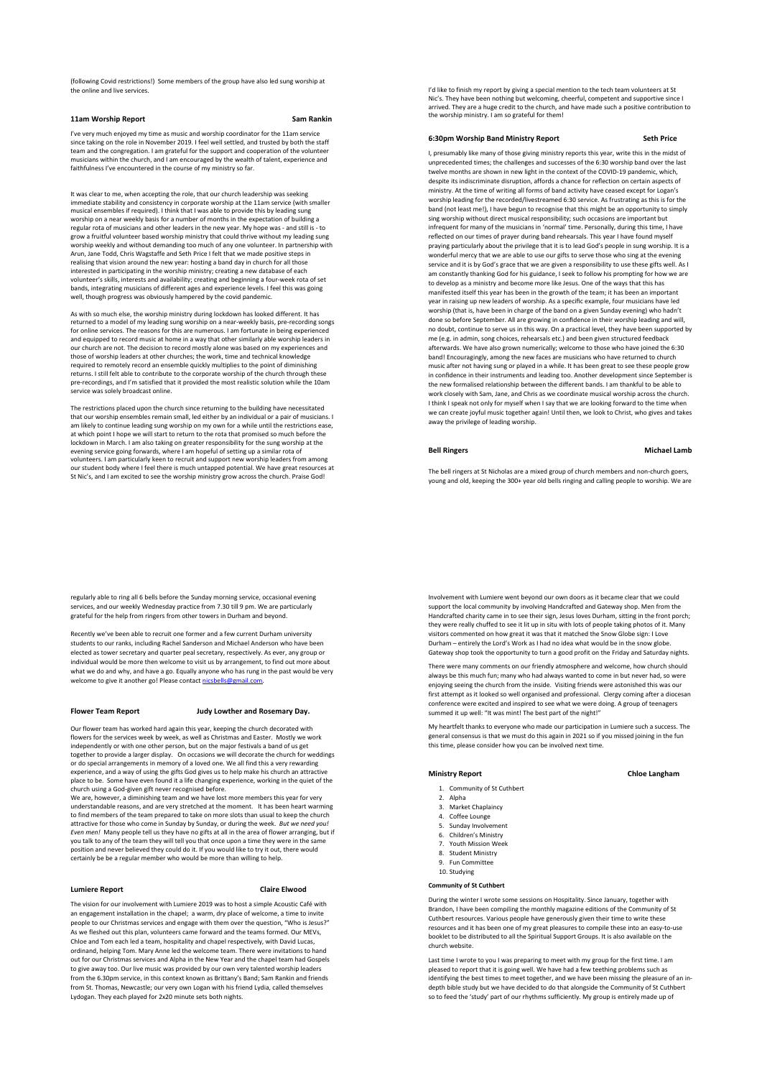(following Covid restrictions!) Some members of the group have also led sung worship at the online and live services.

# **11am Worship Report Sam Rankin**

I've very much enjoyed my time as music and worship coordinator for the 11am service since taking on the role in November 2019. I feel well settled, and trusted by both the staff team and the congregation. I am grateful for the support and cooperation of the volunteer musicians within the church, and I am encouraged by the wealth of talent, experience and faithfulness I've encountered in the course of my ministry so far.

It was clear to me, when accepting the role, that our church leadership was seeking immediate stability and consistency in corporate worship at the 11am service (with smaller musical ensembles if required). I think that I was able to provide this by leading sung worship on a near weekly basis for a number of months in the expectation of building a regular rota of musicians and other leaders in the new year. My hope was - and still is - to grow a fruitful volunteer based worship ministry that could thrive without my leading sung worship weekly and without demanding too much of any one volunteer. In partnership with Arun, Jane Todd, Chris Wagstaffe and Seth Price I felt that we made positive steps in realising that vision around the new year: hosting a band day in church for all those interested in participating in the worship ministry; creating a new database of each volunteer's skills, interests and availability; creating and beginning a four-week rota of set bands, integrating musicians of different ages and experience levels. I feel this was going well, though progress was obviously hampered by the covid pandemic.

As with so much else, the worship ministry during lockdown has looked different. It has returned to a model of my leading sung worship on a near-weekly basis, pre-recording songs for online services. The reasons for this are numerous. I am fortunate in being experienced and equipped to record music at home in a way that other similarly able worship leaders in our church are not. The decision to record mostly alone was based on my experiences and those of worship leaders at other churches; the work, time and technical knowledge required to remotely record an ensemble quickly multiplies to the point of diminishing returns. I still felt able to contribute to the corporate worship of the church through these pre-recordings, and I'm satisfied that it provided the most realistic solution while the 10am service was solely broadcast online.

The restrictions placed upon the church since returning to the building have necessitated that our worship ensembles remain small, led either by an individual or a pair of musicians. I am likely to continue leading sung worship on my own for a while until the restrictions ease, at which point I hope we will start to return to the rota that promised so much before the lockdown in March. I am also taking on greater responsibility for the sung worship at the evening service going forwards, where I am hopeful of setting up a similar rota of<br>volunteers. I am particularly keen to recruit and support new worship leaders from among<br>our student body where I feel there is much untapp St Nic's, and I am excited to see the worship ministry grow across the church. Praise God!

regularly able to ring all 6 bells before the Sunday morning service, occasional evening services, and our weekly Wednesday practice from 7.30 till 9 pm. We are particularly grateful for the help from ringers from other towers in Durham and beyond.

Recently we've been able to recruit one former and a few current Durham university students to our ranks, including Rachel Sanderson and Michael Anderson who have been elected as tower secretary and quarter peal secretary, respectively. As ever, any group or individual would be more then welcome to visit us by arrangement, to find out more about what we do and why, and have a go. Equally anyone who has rung in the past would be very<br>welcome to give it another go! Please contact <u>nicsbells@gmail.com</u>.

# **Flower Team Report Judy Lowther and Rosemary Day.**

Our flower team has worked hard again this year, keeping the church decorated with flowers for the services week by week, as well as Christmas and Easter. Mostly we work independently or with one other person, but on the major festivals a band of us get together to provide a larger display. On occasions we will decorate the church for weddings or do special arrangements in memory of a loved one. We all find this a very rewarding experience, and a way of using the gifts God gives us to help make his church an attractive place to be. Some have even found it a life changing experience, working in the quiet of the

church using a God-given gift never recognised before.<br>We are, however, a diminishing team and we have lost more members this year for very<br>understandable reasons, and are very stretched at the moment. It has been heart wa to find members of the team prepared to take on more slots than usual to keep the church attractive for those who come in Sunday by Sunday, or during the week. *But we need you! Even men!* Many people tell us they have no gifts at all in the area of flower arranging, but if you talk to any of the team they will tell you that once upon a time they were in the same position and never believed they could do it. If you would like to try it out, there would certainly be be a regular member who would be more than willing to help.

# **Lumiere Report Claire Elwood**

The vision for our involvement with Lumiere 2019 was to host a simple Acoustic Café with an engagement installation in the chapel; a warm, dry place of welcome, a time to invite people to our Christmas services and engage with them over the question, "Who is Jesus?" As we fleshed out this plan, volunteers came forward and the teams formed. Our MEVs, Chloe and Tom each led a team, hospitality and chapel respectively, with David Lucas, ordinand, helping Tom. Mary Anne led the welcome team. There were invitations to hand out for our Christmas services and Alpha in the New Year and the chapel team had Gospels to give away too. Our live music was provided by our own very talented worship leaders from the 6.30pm service, in this context known as Brittany's Band; Sam Rankin and friends from St. Thomas, Newcastle; our very own Logan with his friend Lydia, called themselves Lydogan. They each played for 2x20 minute sets both nights.

I'd like to finish my report by giving a special mention to the tech team volunteers at St Nic's. They have been nothing but welcoming, cheerful, competent and supportive since I arrived. They are a huge credit to the church, and have made such a positive contribution to the worship ministry. I am so grateful for them!

### **6:30pm Worship Band Ministry Report Seth Price**

I, presumably like many of those giving ministry reports this year, write this in the midst of unprecedented times; the challenges and successes of the 6:30 worship band over the last twelve months are shown in new light in the context of the COVID-19 pandemic, which, despite its indiscriminate disruption, affords a chance for reflection on certain aspects of ministry. At the time of writing all forms of band activity have ceased except for Logan's worship leading for the recorded/livestreamed 6:30 service. As frustrating as this is for the band (not least me!), I have begun to recognise that this might be an opportunity to simply sing worship without direct musical responsibility; such occasions are important but infrequent for many of the musicians in 'normal' time. Personally, during this time, I have reflected on our times of prayer during band rehearsals. This year I have found myself praying particularly about the privilege that it is to lead God's people in sung worship. It is a wonderful mercy that we are able to use our gifts to serve those who sing at the evening service and it is by God's grace that we are given a responsibility to use these gifts well. As I am constantly thanking God for his guidance, I seek to follow his prompting for how we are to develop as a ministry and become more like Jesus. One of the ways that this has manifested itself this year has been in the growth of the team; it has been an important year in raising up new leaders of worship. As a specific example, four musicians have led worship (that is, have been in charge of the band on a given Sunday evening) who hadn't done so before September. All are growing in confidence in their worship leading and will no doubt, continue to serve us in this way. On a practical level, they have been supported by me (e.g. in admin, song choices, rehearsals etc.) and been given structured feedback afterwards. We have also grown numerically; welcome to those who have joined the 6:30 band! Encouragingly, among the new faces are musicians who have returned to church music after not having sung or played in a while. It has been great to see these people grow in confidence in their instruments and leading too. Another development since September is the new formalised relationship between the different bands. I am thankful to be able to work closely with Sam, Jane, and Chris as we coordinate musical worship across the church. I think I speak not only for myself when I say that we are looking forward to the time when we can create joyful music together again! Until then, we look to Christ, who gives and takes away the privilege of leading worship.

## **Bell Ringers** Michael Lamb

The bell ringers at St Nicholas are a mixed group of church members and non-church goers, young and old, keeping the 300+ year old bells ringing and calling people to worship. We are

Involvement with Lumiere went beyond our own doors as it became clear that we could support the local community by involving Handcrafted and Gateway shop. Men from the Handcrafted charity came in to see their sign, Jesus loves Durham, sitting in the front porch; they were really chuffed to see it lit up in situ with lots of people taking photos of it. Many visitors commented on how great it was that it matched the Snow Globe sign: I Love Durham – entirely the Lord's Work as I had no idea what would be in the snow globe. Gateway shop took the opportunity to turn a good profit on the Friday and Saturday nights.

There were many comments on our friendly atmosphere and welcome, how church should always be this much fun; many who had always wanted to come in but never had, so were enjoying seeing the church from the inside. Visiting friends were astonished this was our first attempt as it looked so well organised and professional. Clergy coming after a diocesan conference were excited and inspired to see what we were doing. A group of teenagers summed it up well: "It was mint! The best part of the night!"

My heartfelt thanks to everyone who made our participation in Lumiere such a success. The general consensus is that we must do this again in 2021 so if you missed joining in the fun this time, please consider how you can be involved next time.

### **Ministry Report Chloe Langham**

- 1. Community of St Cuthbert
- 2. Alpha
- 3. Market Chaplaincy
- 4. Coffee Lounge
- 5. Sunday Involvement
- 6. Children's Ministry
- 7. Youth Mission Week 8. Student Ministry
- 9. Fun Committee
- 10. Studying

### **Community of St Cuthbert**

During the winter I wrote some sessions on Hospitality. Since January, together with Brandon, I have been compiling the monthly magazine editions of the Community of St Cuthbert resources. Various people have generously given their time to write these resources and it has been one of my great pleasures to compile these into an easy-to-use booklet to be distributed to all the Spiritual Support Groups. It is also available on the church website.

Last time I wrote to you I was preparing to meet with my group for the first time. I am pleased to report that it is going well. We have had a few teething problems such as identifying the best times to meet together, and we have been missing the pleasure of an indepth bible study but we have decided to do that alongside the Community of St Cuthbert so to feed the 'study' part of our rhythms sufficiently. My group is entirely made up of